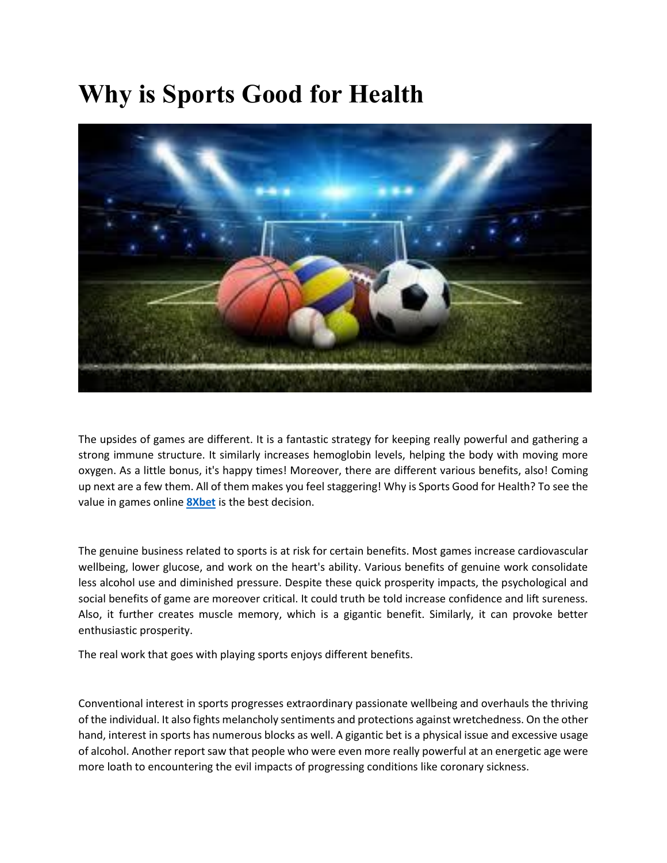## **Why is Sports Good for Health**



The upsides of games are different. It is a fantastic strategy for keeping really powerful and gathering a strong immune structure. It similarly increases hemoglobin levels, helping the body with moving more oxygen. As a little bonus, it's happy times! Moreover, there are different various benefits, also! Coming up next are a few them. All of them makes you feel staggering! Why is Sports Good for Health? To see the value in games online **[8Xbet](https://8xbet.win/)** is the best decision.

The genuine business related to sports is at risk for certain benefits. Most games increase cardiovascular wellbeing, lower glucose, and work on the heart's ability. Various benefits of genuine work consolidate less alcohol use and diminished pressure. Despite these quick prosperity impacts, the psychological and social benefits of game are moreover critical. It could truth be told increase confidence and lift sureness. Also, it further creates muscle memory, which is a gigantic benefit. Similarly, it can provoke better enthusiastic prosperity.

The real work that goes with playing sports enjoys different benefits.

Conventional interest in sports progresses extraordinary passionate wellbeing and overhauls the thriving of the individual. It also fights melancholy sentiments and protections against wretchedness. On the other hand, interest in sports has numerous blocks as well. A gigantic bet is a physical issue and excessive usage of alcohol. Another report saw that people who were even more really powerful at an energetic age were more loath to encountering the evil impacts of progressing conditions like coronary sickness.